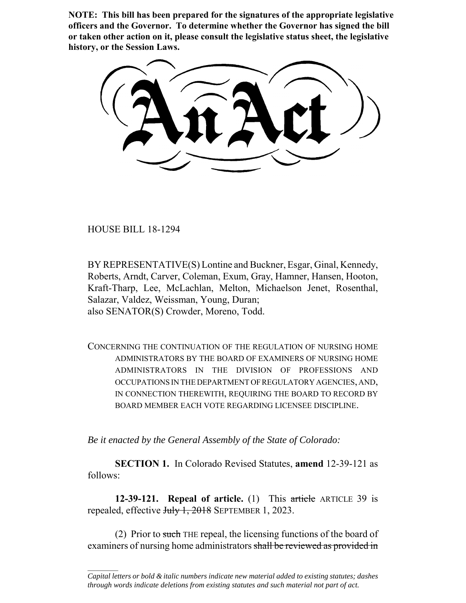**NOTE: This bill has been prepared for the signatures of the appropriate legislative officers and the Governor. To determine whether the Governor has signed the bill or taken other action on it, please consult the legislative status sheet, the legislative history, or the Session Laws.**

HOUSE BILL 18-1294

 $\frac{1}{2}$ 

BY REPRESENTATIVE(S) Lontine and Buckner, Esgar, Ginal, Kennedy, Roberts, Arndt, Carver, Coleman, Exum, Gray, Hamner, Hansen, Hooton, Kraft-Tharp, Lee, McLachlan, Melton, Michaelson Jenet, Rosenthal, Salazar, Valdez, Weissman, Young, Duran; also SENATOR(S) Crowder, Moreno, Todd.

CONCERNING THE CONTINUATION OF THE REGULATION OF NURSING HOME ADMINISTRATORS BY THE BOARD OF EXAMINERS OF NURSING HOME ADMINISTRATORS IN THE DIVISION OF PROFESSIONS AND OCCUPATIONS IN THE DEPARTMENT OF REGULATORY AGENCIES, AND, IN CONNECTION THEREWITH, REQUIRING THE BOARD TO RECORD BY BOARD MEMBER EACH VOTE REGARDING LICENSEE DISCIPLINE.

*Be it enacted by the General Assembly of the State of Colorado:*

**SECTION 1.** In Colorado Revised Statutes, **amend** 12-39-121 as follows:

**12-39-121. Repeal of article.** (1) This article ARTICLE 39 is repealed, effective July 1, 2018 SEPTEMBER 1, 2023.

(2) Prior to such THE repeal, the licensing functions of the board of examiners of nursing home administrators shall be reviewed as provided in

*Capital letters or bold & italic numbers indicate new material added to existing statutes; dashes through words indicate deletions from existing statutes and such material not part of act.*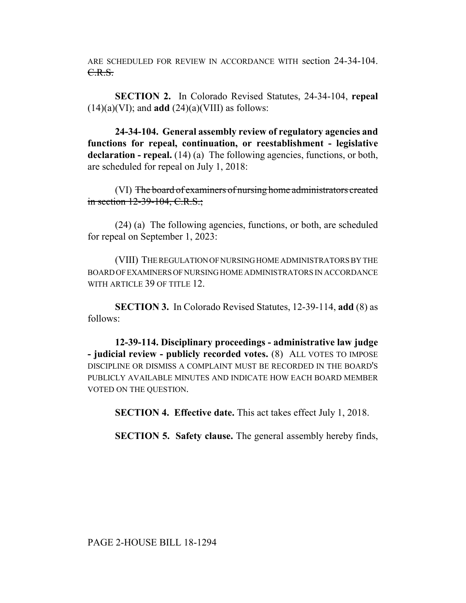ARE SCHEDULED FOR REVIEW IN ACCORDANCE WITH section 24-34-104. C.R.S.

**SECTION 2.** In Colorado Revised Statutes, 24-34-104, **repeal**  $(14)(a)(V)$ ; and **add**  $(24)(a)(V)$  as follows:

**24-34-104. General assembly review of regulatory agencies and functions for repeal, continuation, or reestablishment - legislative** declaration - repeal. (14) (a) The following agencies, functions, or both, are scheduled for repeal on July 1, 2018:

(VI) The board of examiners of nursing home administrators created in section 12-39-104, C.R.S.;

(24) (a) The following agencies, functions, or both, are scheduled for repeal on September 1, 2023:

(VIII) THE REGULATION OF NURSING HOME ADMINISTRATORS BY THE BOARD OF EXAMINERS OF NURSING HOME ADMINISTRATORS IN ACCORDANCE WITH ARTICLE 39 OF TITLE 12

**SECTION 3.** In Colorado Revised Statutes, 12-39-114, **add** (8) as follows:

**12-39-114. Disciplinary proceedings - administrative law judge - judicial review - publicly recorded votes.** (8) ALL VOTES TO IMPOSE DISCIPLINE OR DISMISS A COMPLAINT MUST BE RECORDED IN THE BOARD'S PUBLICLY AVAILABLE MINUTES AND INDICATE HOW EACH BOARD MEMBER VOTED ON THE QUESTION.

**SECTION 4. Effective date.** This act takes effect July 1, 2018.

**SECTION 5. Safety clause.** The general assembly hereby finds,